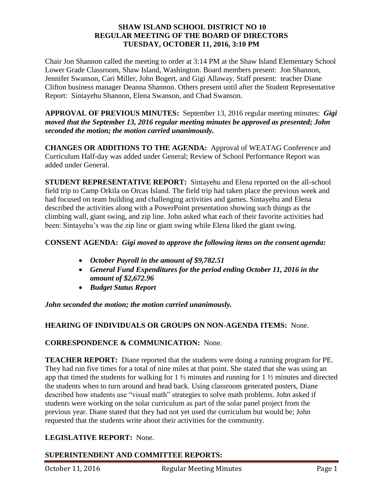### **SHAW ISLAND SCHOOL DISTRICT NO 10 REGULAR MEETING OF THE BOARD OF DIRECTORS TUESDAY, OCTOBER 11, 2016, 3:10 PM**

Chair Jon Shannon called the meeting to order at 3:14 PM at the Shaw Island Elementary School Lower Grade Classroom, Shaw Island, Washington. Board members present: Jon Shannon, Jennifer Swanson, Cari Miller, John Bogert, and Gigi Allaway. Staff present: teacher Diane Clifton business manager Deanna Shannon. Others present until after the Student Representative Report: Sintayehu Shannon, Elena Swanson, and Chad Swanson.

**APPROVAL OF PREVIOUS MINUTES:** September 13, 2016 regular meeting minutes: *Gigi moved that the September 13, 2016 regular meeting minutes be approved as presented; John seconded the motion; the motion carried unanimously.*

**CHANGES OR ADDITIONS TO THE AGENDA:** Approval of WEATAG Conference and Curriculum Half-day was added under General; Review of School Performance Report was added under General.

**STUDENT REPRESENTATIVE REPORT:** Sintayehu and Elena reported on the all-school field trip to Camp Orkila on Orcas Island. The field trip had taken place the previous week and had focused on team building and challenging activities and games. Sintayehu and Elena described the activities along with a PowerPoint presentation showing such things as the climbing wall, giant swing, and zip line. John asked what each of their favorite activities had been: Sintayehu's was the zip line or giant swing while Elena liked the giant swing.

## **CONSENT AGENDA:** *Gigi moved to approve the following items on the consent agenda:*

- *October Payroll in the amount of \$9,782.51*
- *General Fund Expenditures for the period ending October 11, 2016 in the amount of \$2,672.96*
- *Budget Status Report*

*John seconded the motion; the motion carried unanimously.* 

### **HEARING OF INDIVIDUALS OR GROUPS ON NON-AGENDA ITEMS:** None.

### **CORRESPONDENCE & COMMUNICATION:** None.

**TEACHER REPORT:** Diane reported that the students were doing a running program for PE. They had run five times for a total of nine miles at that point. She stated that she was using an app that timed the students for walking for 1 ½ minutes and running for 1 ½ minutes and directed the students when to turn around and head back. Using classroom generated posters, Diane described how students use "visual math" strategies to solve math problems. John asked if students were working on the solar curriculum as part of the solar panel project from the previous year. Diane stated that they had not yet used the curriculum but would be; John requested that the students write about their activities for the community.

## **LEGISLATIVE REPORT:** None.

# **SUPERINTENDENT AND COMMITTEE REPORTS:**